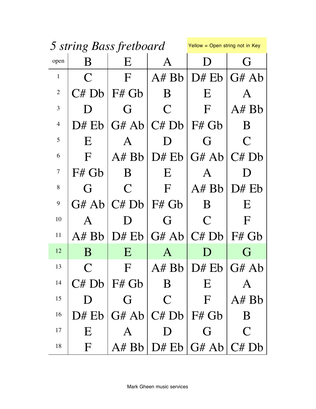|                | 5 string Bass fretboard |                           |                | Yellow = Open string not in Key |                                |
|----------------|-------------------------|---------------------------|----------------|---------------------------------|--------------------------------|
| open           | $\bf{B}$                | E                         | A              | $\mathbf{D}$                    | G                              |
| $\mathbf{1}$   | $\overline{C}$          | $\mathbf F$               | A#Bb           | D# Eb                           | G#Ab                           |
| $\mathbf{2}$   | C# Db                   | $F#$ Gb                   | B              | E                               | A                              |
| 3              | $\mathsf{I}$            | G                         | C              | $\mathbf F$                     | A# Bb                          |
| $\overline{4}$ | D# Eb                   | G#Ab                      | C# Db          | $F#$ Gb                         | B                              |
| 5              | E                       | A                         | $\Box$         | <b>G</b>                        | C                              |
| 6              | F                       | $A#$ Bb                   | $D#$ Eb        | G#Ab                            | C#Db                           |
| $\overline{7}$ | $F#$ Gb                 | B                         | E              | $\mathsf{A}$                    | $\begin{array}{c} \end{array}$ |
| 8              | G                       | $\mathcal C$              | F              | A#Bb                            | $D#$ Eb                        |
| 9              | G# Ab                   | C# Db                     | $F#$ Gb        | B                               | E                              |
| 10             | A                       | $\blacksquare$            | ( <del>ì</del> | C                               | F                              |
| 11             | A# Bh                   | $D#$ Eb                   | G#Ab           | C# Db                           | $F#$ Gb                        |
| 12             | $\bf{B}$                | E                         | $\bm A$        | $\Box$                          | G                              |
| 13             | $\overline{\mathsf{C}}$ | $\boldsymbol{\mathrm{F}}$ | A# Bb          | D# Eb                           | G# Ab                          |
| 14             | C# Db                   | F# Gb                     | B              | E                               | $\bf A$                        |
| 15             | $\Box$                  | G                         | $\overline{C}$ | $\mathbf{F}$                    | A# Bb                          |
| 16             | $D#$ Eb                 |                           | G#Ab/C#Db      | F# Gb                           | B                              |
| 17             | E                       | A                         | $\Box$         | G                               | C                              |
| 18             | $\mathbf F$             |                           | A# Bb   D# Eb  | G#Ab/C#Db                       |                                |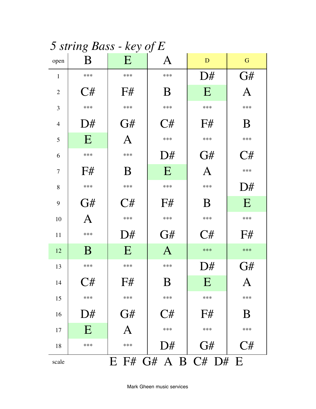5 string Bass - key of  $E$ 

| open           | $\circ$<br>B  | $\cdot$ $\cdot$ $\cdot$ $\cdot$<br>E | $\mathcal{L}$<br>$\mathbf{A}$ | D                 | G            |
|----------------|---------------|--------------------------------------|-------------------------------|-------------------|--------------|
| $\mathbf{1}$   | $***$         | ***                                  | $***$                         | D#                | G#           |
| $\overline{2}$ | C#            | F#                                   | B                             | E                 | A            |
| 3              | ***           | ***                                  | $***$                         | $***$             | $***$        |
| $\overline{4}$ | D#            | G#                                   | C#                            | F#                | B            |
| 5              | E             | Α                                    | ***                           | ***               | $***$        |
| 6              | $***$         | ***                                  | D#                            | G#                | C#           |
| 7              | F#            | B                                    | E                             | $\bm{\mathrm{A}}$ | ***          |
| 8              | ***           | ***                                  | $***$                         | ***               | D#           |
| 9              | G#            | $C\#$                                | F#                            | B                 | E            |
| 10             | Α             | ***                                  | ***                           | ***               | $***$        |
| 11             | $***$         | D#                                   | G#                            | C#                | F#           |
| 12             | B             | E                                    | $\bm{A}$                      | $***$             | $***$        |
| 13             | $***$         | ***                                  | $***$                         | D#                | G#           |
| 14             | C#            | F#                                   | D<br>D                        | E                 | $\mathbf{A}$ |
| 15             | $***$         | ***                                  | $***$                         | ***               | $***$        |
| 16             | $\mathrm{D#}$ | G#                                   | C#                            | F#                | B            |
| 17             | E             | A                                    | $***$                         | ***               | ***          |
| 18             | $***$         | ***                                  | D#                            | G#                | C#           |
| scale          |               |                                      | $E$ F# G# A B C# D# E         |                   |              |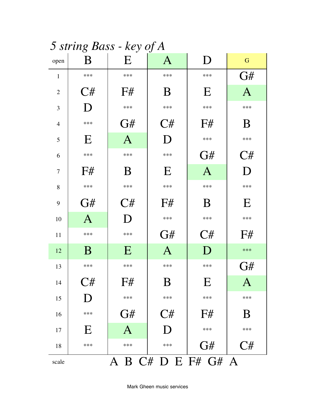5 string Bass - key of A

|                | $\mathcal{C}^{\bullet}$ | $\sim$ $\cal{J}$ | $\sim$ J           |                           |                |
|----------------|-------------------------|------------------|--------------------|---------------------------|----------------|
| open           | B                       | E                | $\rm A$            | $\Box$                    | G              |
| $\mathbf{1}$   | $***$                   | ***              | ***                | ***                       | G#             |
| $\overline{2}$ | C#                      | F#               | B                  | Ε                         | $\rm A$        |
| 3              | $\Box$                  | ***              | $***$              | ***                       | ***            |
| $\overline{4}$ | $***$                   | G#               | C#                 | F#                        | B              |
| 5              | E                       | $\rm A$          | $\blacksquare$     | ***                       | ***            |
| 6              | $***$                   | ***              | ***                | G#                        | C#             |
| 7              | F#                      | B                | E                  | $\bm{A}$                  | D              |
| 8              | $***$                   | ***              | $***$              | ***                       | ***            |
| 9              | G#                      | C#               | F#                 | B                         | E              |
| 10             | $\mathbf{A}$            | D                | $***$              | ***                       | ***            |
| 11             | ***                     | ***              | G#                 | C#                        | F#             |
| 12             | B                       | E                | $\bf A$            | D                         | $***$          |
| 13             | ***                     | ***              | $***$              | ***                       | G#             |
| 14             | C#                      | F#               | $\rm{B}$           | $\boldsymbol{\mathrm{E}}$ | $\mathbf{A}$   |
| 15             | $\Box$                  | ***              | ***                | ***                       | $***$          |
| 16             | ***                     | G#               | C#                 | F#                        | B              |
| 17             | E                       | $\rm A$          | $\blacksquare$     | ***                       | ***            |
| 18             | ***                     | ***              | ***                | G#                        | $\mathrm{C}\#$ |
| scale          |                         |                  | A B C# D E F# G# A |                           |                |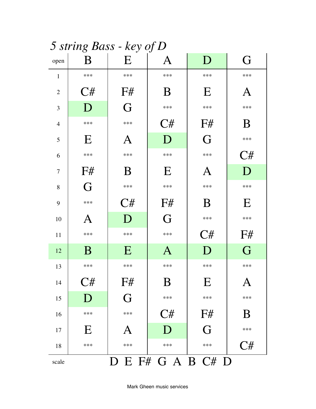5 string Bass - key of D

| open           | $\sim$ $\sim$ $\sim$ $\sim$ $\sim$<br>B | ,,,,<br>$\cdots$ ) $\ddots$<br>Ε | $\bm{\mathsf{A}}$ | D                         | G              |
|----------------|-----------------------------------------|----------------------------------|-------------------|---------------------------|----------------|
| $\mathbf{1}$   | ***                                     | ***                              | $***$             | ***                       | $***$          |
| $\mathfrak{2}$ | C#                                      | F#                               | B                 | $\mathbf E$               | Α              |
| 3              | D                                       | G                                | ***               | ***                       | $***$          |
| $\overline{4}$ | ***                                     | ***                              | C#                | F#                        | B              |
| 5              | E                                       | Α                                | D                 | G                         | $***$          |
| 6              | ***                                     | ***                              | $***$             | ***                       | C#             |
| $\overline{7}$ | F#                                      | B                                | E                 | $\boldsymbol{\mathsf{A}}$ | D              |
| 8              | G                                       | ***                              | $***$             | ***                       | $***$          |
| 9              | ***                                     | C#                               | F#                | B                         | E              |
| 10             | Α                                       | D                                | G                 | ***                       | ***            |
| 11             | ***                                     | ***                              | $***$             | C#                        | F#             |
| 12             | B                                       | E                                | $\bm{A}$          | D                         | G              |
| 13             | ***                                     | ***                              | ***               | $***$                     | $***$          |
| 14             | C#                                      | F#                               | D<br>D            | $\boldsymbol{\mathrm{E}}$ | $\mathbf{A}$   |
| 15             | D                                       | G                                | $***$             | ***                       | ***            |
| 16             | ***                                     | ***                              | C#                | F#                        | B              |
| 17             | E                                       | $\boldsymbol{\mathsf{A}}$        | D                 | G                         | $***$          |
| 18             | ***                                     | ***                              | ***               | ***                       | $\mathrm{C}\#$ |
| scale          |                                         |                                  | D E F# G A B C# D |                           |                |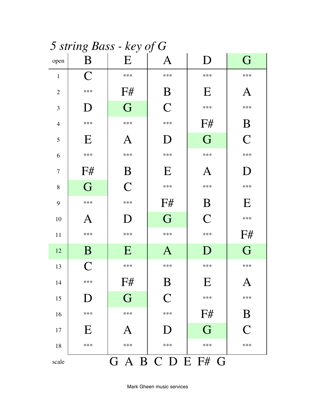5 string Bass - key of G

| open           | $\circ$<br>B      | $\checkmark$<br>E | J<br>$\boldsymbol{\mathsf{A}}$ | D                         | G              |
|----------------|-------------------|-------------------|--------------------------------|---------------------------|----------------|
| $\mathbf{1}$   | C                 | ***               | $***$                          | ***                       | $***$          |
| $\overline{2}$ | ***               | F#                | B                              | $\mathbf E$               | Α              |
| 3              | D                 | G                 | $\overline{C}$                 | ***                       | $***$          |
| $\overline{4}$ | $***$             | ***               | $***$                          | F#                        | B              |
| 5              | $\mathbf E$       | Α                 | $\Box$                         | G                         | $\overline{C}$ |
| 6              | $***$             | ***               | ***                            | ***                       | $***$          |
| $\overline{7}$ | F#                | B                 | E                              | Α                         | D              |
| 8              | G                 | $\overline{C}$    | ***                            | ***                       | ***            |
| 9              | $***$             | ***               | F#                             | B                         | E              |
| 10             | $\bm{\mathsf{A}}$ | $\Box$            | G                              | $\overline{C}$            | $***$          |
| 11             | $***$             | ***               | $***$                          | $***$                     | F#             |
| 12             | B                 | E                 | $\bm{A}$                       | $\mathbf D$               | G              |
| 13             | $\overline{C}$    | ***               | $***$                          | ***                       | $***$          |
| 14             | ***               | F#                | $\mathbf D$                    | $\boldsymbol{\mathrm{E}}$ | $\mathbf{A}$   |
| 15             | D                 | G                 | $\overline{C}$                 | ***                       | ***            |
| 16             | $***$             | ***               | ***                            | F#                        | B              |
| 17             | E                 | A                 | D                              | G                         | $\overline{C}$ |
| 18             | $***$             | ***               | ***                            | ***                       | $***$          |
| scale          |                   |                   | GABCDEF#G                      |                           |                |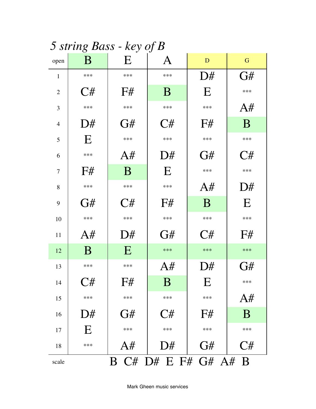5 string Bass - key of  $B$ 

| open           | $\cdots$ O<br>$\bf{B}$ | $\sim$ $\sqrt{ }$<br>E | $\mathcal{L}$<br>$\bf A$ | D                         | G              |
|----------------|------------------------|------------------------|--------------------------|---------------------------|----------------|
| $\mathbf{1}$   | ***                    | $***$                  | $***$                    | D#                        | G#             |
| $\overline{2}$ | C#                     | F#                     | B                        | E                         | ***            |
| 3              | ***                    | ***                    | $***$                    | ***                       | A#             |
| $\overline{4}$ | D#                     | G#                     | $C\#$                    | F#                        | B              |
| 5              | E                      | ***                    | ***                      | ***                       | ***            |
| 6              | ***                    | A#                     | D#                       | G#                        | C#             |
| 7              | F#                     | B                      | E                        | ***                       | ***            |
| 8              | ***                    | ***                    | ***                      | A#                        | D#             |
| 9              | G#                     | $C\#$                  | F#                       | B                         | E              |
| 10             | ***                    | $***$                  | ***                      | ***                       | ***            |
| 11             | A#                     | D#                     | G#                       | C#                        | F#             |
| 12             | B                      | E                      | $***$                    | ***                       | ***            |
| 13             | $***$                  | ***                    | A#                       | D#                        | G#             |
| 14             | $\mathrm{C}\#$         | F#                     | B                        | $\boldsymbol{\mathrm{E}}$ | ***            |
| 15             | $***$                  | ***                    | $***$                    | ***                       | A#             |
| 16             | $\mathrm{D#}$          | G#                     | C#                       | F#                        | B              |
| 17             | E                      | ***                    | $***$                    | $***$                     | $***$          |
| 18             | ***                    | A#                     | D#                       | G#                        | $\mathrm{C}\#$ |
| scale          |                        |                        | B C# D# E F# G# A# B     |                           |                |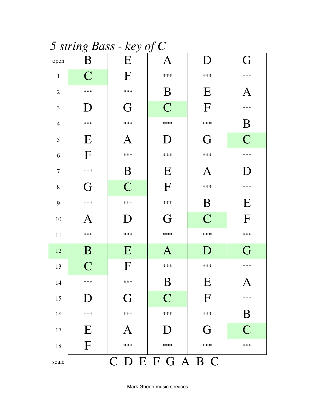5 string Bass - key of C

| open           | $\circ$<br>$\bf{B}$ | $\cdots$ $\checkmark$<br>E | $\mathcal{J}$<br>A | $\bf D$                   | G                 |
|----------------|---------------------|----------------------------|--------------------|---------------------------|-------------------|
| $\mathbf{1}$   | $\mathbf C$         | $\mathbf F$                | $***$              | ***                       | $***$             |
| $\sqrt{2}$     | ***                 | ***                        | B                  | $\mathbf E$               | $\bm{\mathsf{A}}$ |
| $\mathfrak{Z}$ | D                   | G                          | $\overline{C}$     | F                         | ***               |
| $\overline{4}$ | ***                 | ***                        | $***$              | ***                       | B                 |
| 5              | $\mathbf E$         | Α                          | I)                 | G                         | $\overline{C}$    |
| 6              | F                   | ***                        | $***$              | ***                       | ***               |
| $\overline{7}$ | ***                 | $\bf{B}$                   | E                  | A                         | D                 |
| 8              | G                   | $\overline{C}$             | $\mathbf{F}$       | ***                       | ***               |
| 9              | $***$               | ***                        | ***                | B                         | E                 |
| 10             | $\bm{\mathsf{A}}$   | D                          | G                  | $\overline{C}$            | F                 |
| $11\,$         | $***$               | ***                        | $***$              | ***                       | $***$             |
| 12             | $\bf{B}$            | E                          | $\mathbf{A}$       | D                         | G                 |
| 13             | $\mathbf C$         | ${\bf F}$                  | ***                | ***                       | ***               |
| 14             | $***$               | ***                        | B                  | $\boldsymbol{\mathrm{E}}$ | $\mathbf{A}$      |
| 15             | D                   | G                          | $\overline{C}$     | F                         | $***$             |
| 16             | $***$               | ***                        | $***$              | ***                       | B                 |
| 17             | $\mathbf E$         | A                          | D                  | G                         | $\overline{C}$    |
| 18             | $\mathbf F$         | ***                        | ***                | ***                       | $***$             |
| scale          |                     |                            | CDEFGABC           |                           |                   |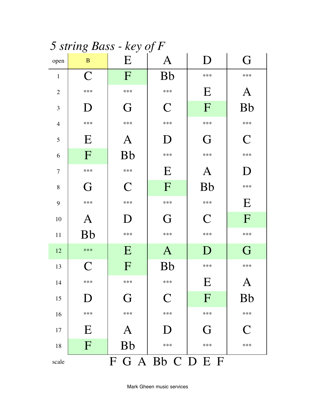5 string Bass - key of F

| open           | $\circ$<br>$\, {\bf B}$ | $\checkmark$<br>E         | J<br>A           | D              | G            |
|----------------|-------------------------|---------------------------|------------------|----------------|--------------|
| $\mathbf{1}$   | C                       | $\mathbf{F}$              | <b>Bb</b>        | ***            | ***          |
| $\mathbf{2}$   | ***                     | ***                       | $***$            | E              | A            |
| 3              | D                       | G                         | C                | F              | <b>Bb</b>    |
| $\overline{4}$ | ***                     | ***                       | ***              | ***            | ***          |
| 5              | E                       | A                         | D                | G              | $\mathcal C$ |
| 6              | F                       | <b>Bb</b>                 | ***              | ***            | ***          |
| $\overline{7}$ | $***$                   | ***                       | E                | A              | D            |
| 8              | G                       | $\mathsf C$               | F                | <b>Bb</b>      | ***          |
| 9              | $***$                   | ***                       | $***$            | $***$          | E            |
| 10             | $\mathbf A$             | $\Box$                    | G                | $\overline{C}$ | F            |
| $11\,$         | <b>Bb</b>               | ***                       | $***$            | ***            | ***          |
| 12             | ***                     | E                         | $\bf{A}$         | $\mathbf D$    | G            |
| 13             | $\mathsf{C}$            | $\boldsymbol{\mathrm{F}}$ | <b>Bb</b>        | ***            | ***          |
| 14             | ***                     | ***                       | ***              | $E_{\rm}$      | $\mathbf{A}$ |
| 15             | D                       | G                         | $\mathbf C$      | F              | <b>Bb</b>    |
| 16             | ***                     | ***                       | ***              | ***            | ***          |
| 17             | E                       | A                         | D                | G              | $\mathbf C$  |
| 18             | $\mathbf F$             | <b>Bb</b>                 | ***              | ***            | ***          |
| scale          |                         |                           | F G A Bb C D E F |                |              |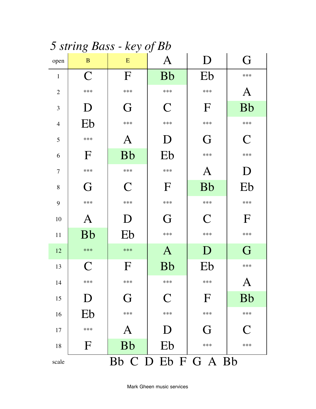5 string Bass - key of Bb

| open           | ◡<br>$\mathbf{B}$ | ັ<br>${\bf E}$    | ັ<br>$\boldsymbol{\mathrm{A}}$ | D              | G            |
|----------------|-------------------|-------------------|--------------------------------|----------------|--------------|
| $\mathbf{1}$   | $\mathsf{C}$      | $\mathbf F$       | <b>Bb</b>                      | Eb             | $***$        |
| $\overline{2}$ | ***               | ***               | $***$                          | ***            | A            |
| 3              | I)                | G                 | C                              | $\Gamma$       | <b>Bb</b>    |
| $\overline{4}$ | Eb                | ***               | $***$                          | ***            | ***          |
| 5              | ***               | A                 | D                              | G              | $\mathsf{C}$ |
| 6              | $\mathbf{F}$      | <b>Bb</b>         | Eb                             | ***            | $***$        |
| $\overline{7}$ | $***$             | ***               | $***$                          | Α              | D            |
| $8\,$          | G                 | C                 | $\mathbf{F}$                   | <b>Bb</b>      | Eb           |
| 9              | $***$             | ***               | $***$                          | ***            | $***$        |
| 10             | $\mathbf{A}$      | D                 | G                              | $\overline{C}$ | $\mathbf{F}$ |
| 11             | <b>Bb</b>         | Eb                | $***$                          | ***            | $***$        |
| 12             | $***$             | $***$             | $\bf{A}$                       | D              | G            |
| 13             | $\mathsf{C}$      | F                 | <b>Bb</b>                      | Eb             | $***$        |
| 14             | ***               | ***               | ***                            | ***            | $\mathbf{A}$ |
| 15             | D                 | G                 | $\bf C$                        | F              | <b>Bb</b>    |
| 16             | Eb                | ***               | ***                            | ***            | ***          |
| 17             | $***$             | $\bm{\mathrm{A}}$ | D                              | G              | $\mathbf C$  |
| 18             | $\mathbf F$       | <b>Bb</b>         | Eb                             | ***            | ***          |
| scale          |                   |                   | Bb C D Eb F G A Bb             |                |              |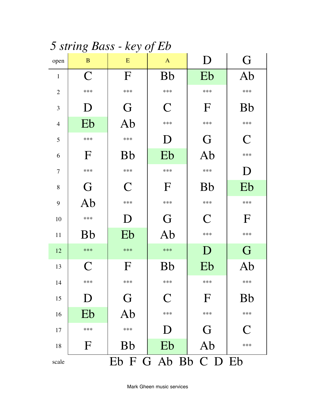5 string Bass - key of Eb

| open           | ◡<br>$\bf{B}$  | ັ<br>E       | ັ<br>$\mathbf{A}$   | D           | G            |
|----------------|----------------|--------------|---------------------|-------------|--------------|
| $\mathbf{1}$   | $\mathsf{C}$   | $\mathbf{F}$ | <b>Bb</b>           | Eb          | Ab           |
| $\overline{2}$ | $***$          | ***          | $***$               | ***         | $***$        |
| 3              | D              | G            | C                   | $\Gamma$    | <b>Bb</b>    |
| $\overline{4}$ | Eb             | Ab           | $***$               | ***         | ***          |
| 5              | $***$          | ***          | D                   | G           | C            |
| 6              | $\mathbf F$    | <b>Bb</b>    | Eb                  | Ab          | $***$        |
| $\overline{7}$ | $***$          | ***          | $***$               | ***         | D            |
| 8              | G              | $\mathbf C$  | $\mathbf{F}$        | <b>Bb</b>   | Eb           |
| 9              | Ab             | ***          | $***$               | ***         | $***$        |
| 10             | $***$          | D            | G                   | $\mathbf C$ | $\mathbf{F}$ |
| 11             | <b>Bb</b>      | Eb           | Ab                  | $***$       | $***$        |
| 12             | $***$          | $***$        | $***$               | D           | G            |
| 13             | $\overline{C}$ | F            | <b>Bb</b>           | Eb          | Ab           |
| 14             | ***            | ***          | ***                 | ***         | ***          |
| 15             | D              | G            | C                   | $\Gamma$    | <b>Bb</b>    |
| 16             | Eb             | Ab           | $***$               | ***         | $***$        |
| 17             | $***$          | ***          | D                   | G           | C            |
| 18             | F              | <b>Bb</b>    | Eb                  | Ab          | $***$        |
| scale          |                |              | Eb F G Ab Bb C D Eb |             |              |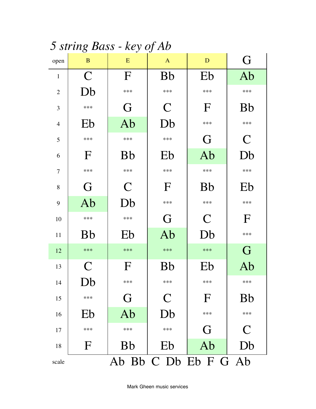5 string Bass - key of Ab

| open           | 〜<br>$\bf{B}$  | E         | ັ<br>$\mathbf{A}$                                                                                              | D                    | G            |
|----------------|----------------|-----------|----------------------------------------------------------------------------------------------------------------|----------------------|--------------|
| $\mathbf{1}$   | $\overline{C}$ | F         | <b>Bb</b>                                                                                                      | Eb                   | Ab           |
| $\overline{2}$ | Db             | ***       | ***                                                                                                            | ***                  | $***$        |
| 3              | $***$          | G         | C                                                                                                              | $\mathbf{F}$         | <b>Bb</b>    |
| $\overline{4}$ | Eb             | Ab        | Db                                                                                                             | ***                  | $***$        |
| 5              | $***$          | ***       | $***$                                                                                                          | G                    | $\mathsf{C}$ |
| 6              | F              | <b>Bb</b> | Eb                                                                                                             | Ab                   | Db           |
| $\tau$         | $***$          | ***       | $***$                                                                                                          | ***                  | $***$        |
| 8              | G              | C         | F                                                                                                              | <b>Bb</b>            | Eb           |
| 9              | Ab             | Db        | $***$                                                                                                          | ***                  | $***$        |
| 10             | ***            | ***       | G                                                                                                              | $\mathsf{C}$         | $\mathbf{F}$ |
| 11             | <b>Bb</b>      | Eb        | Ab                                                                                                             | Db                   | $***$        |
| 12             | $***$          | $***$     | $***$                                                                                                          | ***                  | G            |
| 13             | $\mathbf C$    | F         | <b>Bb</b>                                                                                                      | Eb                   | Ab           |
| 14             | Db             | ***       | ***                                                                                                            | ***                  | ***          |
| 15             | ***            | G         | $\mathsf{C}% _{M_{1},M_{2}}^{\alpha,\beta}(-\varepsilon)=\mathsf{C}_{M_{1},M_{2}}^{\alpha,\beta}(\varepsilon)$ | F                    | <b>Bb</b>    |
| 16             | Eb             | Ab        | Db                                                                                                             | ***                  | $***$        |
| 17             | ***            | ***       | ***                                                                                                            | G                    | $\mathsf{C}$ |
| 18             | $\mathbf F$    | <b>Bb</b> | Eb                                                                                                             | Ab                   | Db           |
| scale          |                |           |                                                                                                                | Ab Bb C Db Eb F G Ab |              |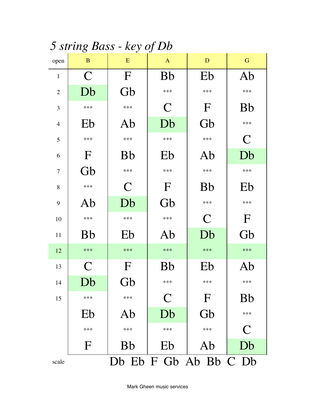5 string Bass - key of Db

| open           | ◡<br>$\bf{B}$  | E            | ັ<br>$\mathbf{A}$ | D                     | G            |
|----------------|----------------|--------------|-------------------|-----------------------|--------------|
| $\mathbf{1}$   | $\mathsf{C}$   | $\mathbf F$  | <b>Bb</b>         | Eb                    | Ab           |
| $\overline{2}$ | Db             | Gb           | ***               | ***                   | $***$        |
| 3              | $***$          | ***          | C                 | $\Gamma$              | <b>Bb</b>    |
| $\overline{4}$ | Eb             | Ab           | Db                | Gb                    | $***$        |
| 5              | $***$          | ***          | ***               | ***                   | $\mathsf{C}$ |
| 6              | $\mathbf F$    | <b>Bb</b>    | Eb                | Ab                    | Db           |
| $\tau$         | Gb             | ***          | ***               | ***                   | $***$        |
| 8              | $***$          | $\mathsf{C}$ | F                 | <b>Bb</b>             | Eb           |
| 9              | Ab             | Db           | Gb                | ***                   | $***$        |
| 10             | $***$          | ***          | $***$             | $\mathsf{C}$          | F            |
| 11             | <b>Bb</b>      | Eb           | Ab                | Db                    | Gb           |
| 12             | $***$          | ***          | $***$             | $***$                 | $***$        |
| 13             | $\overline{C}$ | F            | <b>Bb</b>         | Eb                    | Ab           |
| 14             | Db             | Gb           | ***               | ***                   | ***          |
| 15             | $***$          | ***          | $\mathsf{C}$      | $\Gamma$              | <b>Bb</b>    |
|                | Eb             | Ab           | Db                | Gb                    | $***$        |
|                | $***$          | ***          | $***$             | ***                   | $\mathsf{C}$ |
|                | F              | <b>Bb</b>    | Eb                | Ab                    | Db           |
| scale          |                |              |                   | Db Eb F Gb Ab Bb C Db |              |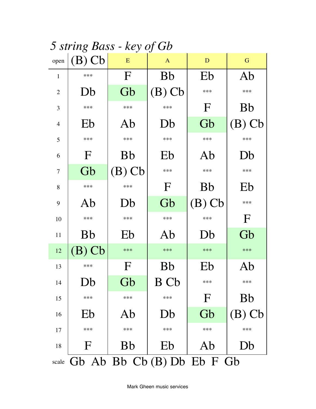*5 string Bass - key of Gb*

| open                             | Ö<br>$(B)$ Cb | E         | J<br>$\mathbf{A}$ | D           | G            |  |  |  |
|----------------------------------|---------------|-----------|-------------------|-------------|--------------|--|--|--|
| $\mathbf{1}$                     | $***$         | F         | <b>Bb</b>         | Eb          | Ab           |  |  |  |
| $\overline{2}$                   | Db            | Gb        | $(B)$ Cb          | ***         | ***          |  |  |  |
| 3                                | $***$         | ***       | $***$             | F           | <b>Bb</b>    |  |  |  |
| $\overline{4}$                   | Eb            | Ab        | Db                | Gb          | $(B)$ Cb     |  |  |  |
| 5                                | $***$         | ***       | $***$             | ***         | ***          |  |  |  |
| 6                                | F             | <b>Bb</b> | Eb                | Ab          | Db           |  |  |  |
| 7                                | Gb            | $(B)$ Cb  | ***               | ***         | $***$        |  |  |  |
| 8                                | ***           | ***       | F                 | <b>Bb</b>   | Eb           |  |  |  |
| 9                                | Ab            | Db        | Gb                | $(B)$ Cb    | ***          |  |  |  |
| 10                               | ***           | ***       | $***$             | ***         | $\mathbf{F}$ |  |  |  |
| 11                               | <b>Bb</b>     | Eb        | Ab                | Db          | Gb           |  |  |  |
| 12                               | $(B)$ Cb      | ***       | ***               | $***$       | $***$        |  |  |  |
| 13                               | ***           | F         | <b>Bb</b>         | Eb          | Ab           |  |  |  |
| 14                               | Db            | Gb        | B Cb              | ***         | $***$        |  |  |  |
| 15                               | ***           | ***       | ***               | $\mathbf F$ | <b>Bb</b>    |  |  |  |
| 16                               | Eb            | Ab        | Db                | Gb          | $(B)$ Cb     |  |  |  |
| 17                               | ***           | ***       | $***$             | ***         | $***$        |  |  |  |
| 18                               | F             | <b>Bb</b> | Eb                | Ab          | Db           |  |  |  |
| scale Gb Ab Bb Cb (B) Db Eb F Gb |               |           |                   |             |              |  |  |  |